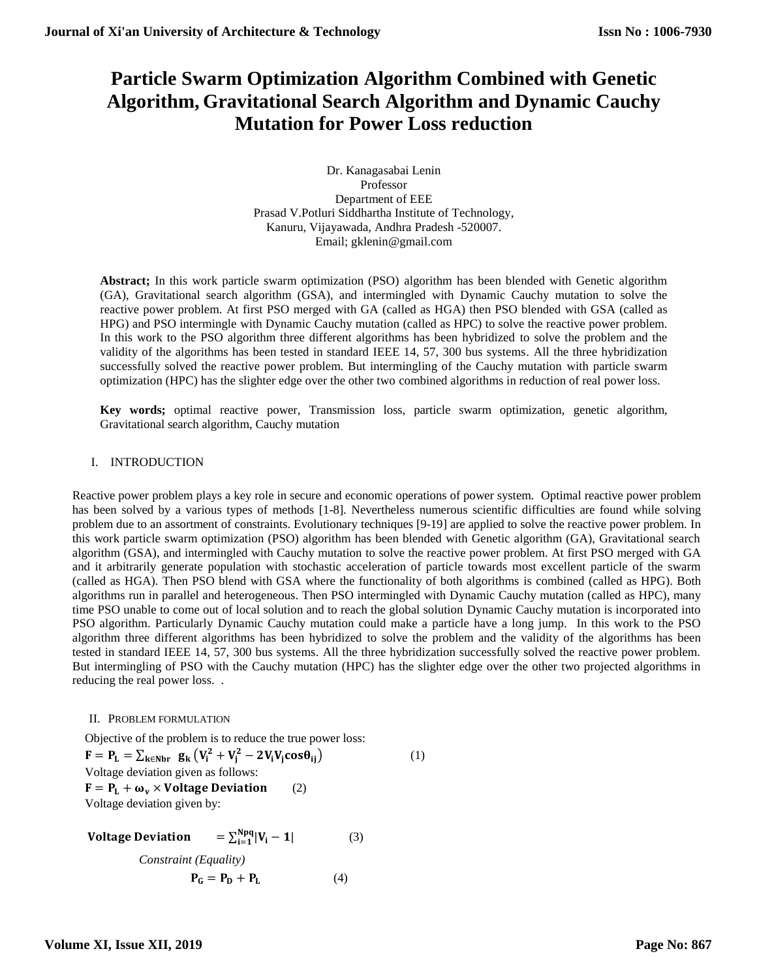# **Particle Swarm Optimization Algorithm Combined with Genetic Algorithm, Gravitational Search Algorithm and Dynamic Cauchy Mutation for Power Loss reduction**

Dr. Kanagasabai Lenin Professor Department of EEE Prasad V.Potluri Siddhartha Institute of Technology, Kanuru, Vijayawada, Andhra Pradesh -520007. Email; gklenin@gmail.com

**Abstract;** In this work particle swarm optimization (PSO) algorithm has been blended with Genetic algorithm (GA), Gravitational search algorithm (GSA), and intermingled with Dynamic Cauchy mutation to solve the reactive power problem. At first PSO merged with GA (called as HGA) then PSO blended with GSA (called as HPG) and PSO intermingle with Dynamic Cauchy mutation (called as HPC) to solve the reactive power problem. In this work to the PSO algorithm three different algorithms has been hybridized to solve the problem and the validity of the algorithms has been tested in standard IEEE 14, 57, 300 bus systems. All the three hybridization successfully solved the reactive power problem. But intermingling of the Cauchy mutation with particle swarm optimization (HPC) has the slighter edge over the other two combined algorithms in reduction of real power loss.

**Key words;** optimal reactive power, Transmission loss, particle swarm optimization, genetic algorithm, Gravitational search algorithm, Cauchy mutation

# I. INTRODUCTION

Reactive power problem plays a key role in secure and economic operations of power system. Optimal reactive power problem has been solved by a various types of methods [1-8]. Nevertheless numerous scientific difficulties are found while solving problem due to an assortment of constraints. Evolutionary techniques [9-19] are applied to solve the reactive power problem. In this work particle swarm optimization (PSO) algorithm has been blended with Genetic algorithm (GA), Gravitational search algorithm (GSA), and intermingled with Cauchy mutation to solve the reactive power problem. At first PSO merged with GA and it arbitrarily generate population with stochastic acceleration of particle towards most excellent particle of the swarm (called as HGA). Then PSO blend with GSA where the functionality of both algorithms is combined (called as HPG). Both algorithms run in parallel and heterogeneous. Then PSO intermingled with Dynamic Cauchy mutation (called as HPC), many time PSO unable to come out of local solution and to reach the global solution Dynamic Cauchy mutation is incorporated into PSO algorithm. Particularly Dynamic Cauchy mutation could make a particle have a long jump. In this work to the PSO algorithm three different algorithms has been hybridized to solve the problem and the validity of the algorithms has been tested in standard IEEE 14, 57, 300 bus systems. All the three hybridization successfully solved the reactive power problem. But intermingling of PSO with the Cauchy mutation (HPC) has the slighter edge over the other two projected algorithms in reducing the real power loss. .

# II. PROBLEM FORMULATION

Objective of the problem is to reduce the true power loss:

 $F = P_L = \sum_{k \in Nbr} g_k (V_i^2 + V_j^2 - 2V_i V_j \cos \theta_{ij})$  (1) Voltage deviation given as follows:  $F = P_L + \omega_v \times$  Voltage Deviation (2) Voltage deviation given by:

Voltage Deviation Npq i=1 (3) *Constraint (Equality)*  $P_{\rm G} = P_{\rm D} + P_{\rm L}$ (4)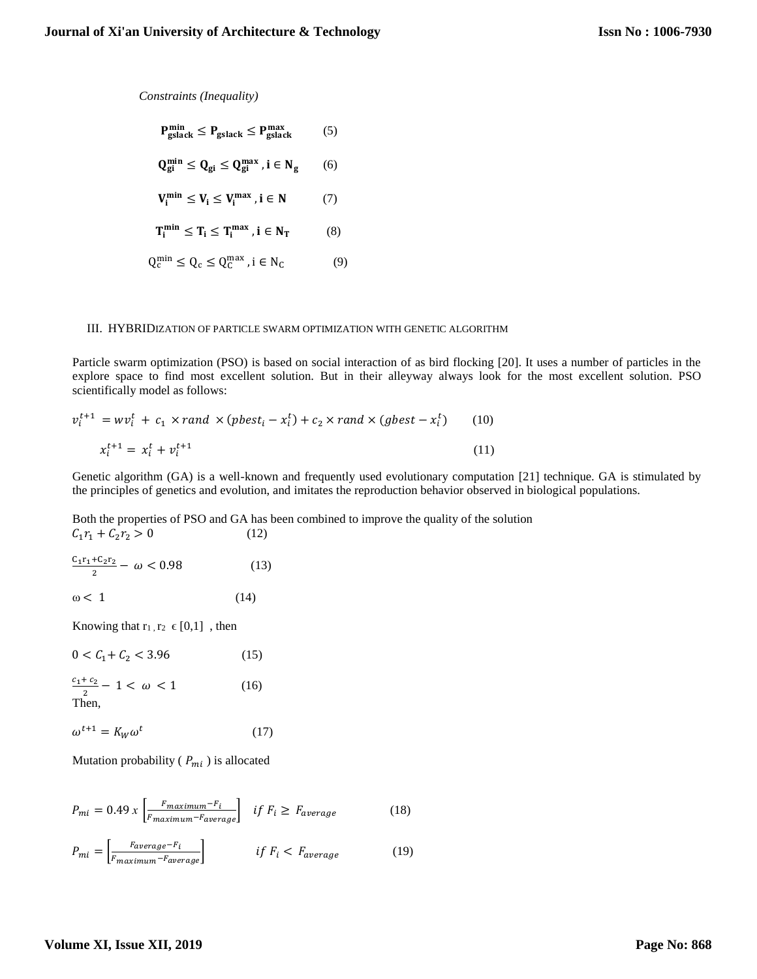*Constraints (Inequality)*

$$
P_{\text{gslack}}^{\text{min}} \le P_{\text{gslack}} \le P_{\text{gslack}}^{\text{max}} \qquad (5)
$$
\n
$$
Q_{gi}^{\text{min}} \le Q_{gi} \le Q_{gi}^{\text{max}} \text{ , } i \in N_{g} \qquad (6)
$$
\n
$$
V_{i}^{\text{min}} \le V_{i} \le V_{i}^{\text{max}} \text{ , } i \in N \qquad (7)
$$
\n
$$
T_{i}^{\text{min}} \le T_{i} \le T_{i}^{\text{max}} \text{ , } i \in N_{T} \qquad (8)
$$
\n
$$
Q_{c}^{\text{min}} \le Q_{c} \le Q_{c}^{\text{max}} \text{ , } i \in N_{c} \qquad (9)
$$

#### III. HYBRIDIZATION OF PARTICLE SWARM OPTIMIZATION WITH GENETIC ALGORITHM

Particle swarm optimization (PSO) is based on social interaction of as bird flocking [20]. It uses a number of particles in the explore space to find most excellent solution. But in their alleyway always look for the most excellent solution. PSO scientifically model as follows:

$$
v_i^{t+1} = w v_i^t + c_1 \times rand \times (pbest_i - x_i^t) + c_2 \times rand \times (gbest - x_i^t)
$$
 (10)  

$$
x_i^{t+1} = x_i^t + v_i^{t+1}
$$
 (11)

Genetic algorithm (GA) is a well-known and frequently used evolutionary computation [21] technique. GA is stimulated by the principles of genetics and evolution, and imitates the reproduction behavior observed in biological populations.

Both the properties of PSO and GA has been combined to improve the quality of the solution  $C_1 r_1 + C_2 r_2 > 0$  (12)

$$
\frac{C_1 r_1 + C_2 r_2}{2} - \omega < 0.98\tag{13}
$$
\n
$$
\omega < 1\tag{14}
$$

Knowing that  $r_1, r_2 \in [0,1]$ , then

| $0 < C_1 + C_2 < 3.96$                           | (15) |
|--------------------------------------------------|------|
| $\frac{c_1+c_2}{\cdots}-1 < \omega < 1$<br>Then, | (16) |

$$
\omega^{t+1} = K_W \omega^t \tag{17}
$$

Mutation probability ( $P_{mi}$ ) is allocated

$$
P_{mi} = 0.49 \, x \left[ \frac{F_{maximum} - F_i}{F_{maximum} - F_{average}} \right] \quad \text{if } F_i \ge F_{average} \tag{18}
$$

$$
P_{mi} = \left[ \frac{F_{average} - F_i}{F_{maximum} - F_{average}} \right] \qquad \qquad \text{if } F_i < F_{average} \tag{19}
$$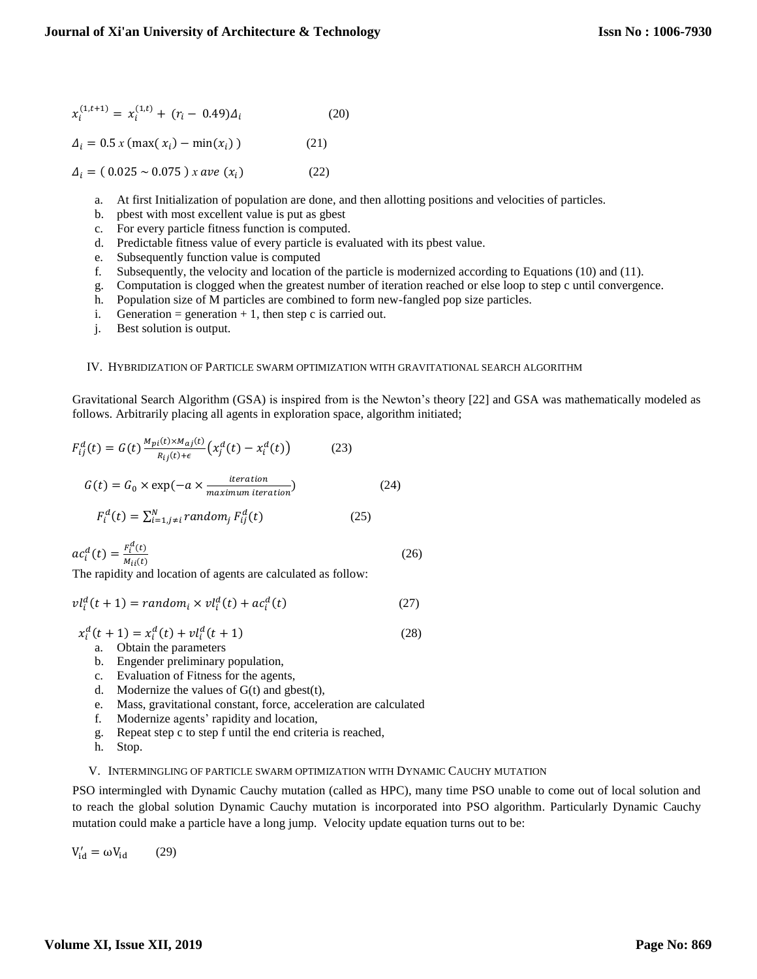$$
x_i^{(1,t+1)} = x_i^{(1,t)} + (r_i - 0.49)\Delta_i
$$
 (20)

 $\Delta_i = 0.5 x \text{ (max}(x_i) - \min(x_i))$  (21)

 $\Delta_i = (0.025 \sim 0.075) x \, ave \, (x_i)$  (22)

- a. At first Initialization of population are done, and then allotting positions and velocities of particles.
- b. pbest with most excellent value is put as gbest
- c. For every particle fitness function is computed.
- d. Predictable fitness value of every particle is evaluated with its pbest value.
- e. Subsequently function value is computed
- f. Subsequently, the velocity and location of the particle is modernized according to Equations (10) and (11).
- g. Computation is clogged when the greatest number of iteration reached or else loop to step c until convergence.
- h. Population size of M particles are combined to form new-fangled pop size particles.
- i. Generation = generation + 1, then step c is carried out.
- j. Best solution is output.

## IV. HYBRIDIZATION OF PARTICLE SWARM OPTIMIZATION WITH GRAVITATIONAL SEARCH ALGORITHM

Gravitational Search Algorithm (GSA) is inspired from is the Newton's theory [22] and GSA was mathematically modeled as follows. Arbitrarily placing all agents in exploration space, algorithm initiated;

$$
F_{ij}^{d}(t) = G(t) \frac{M_{pi}(t) \times M_{aj}(t)}{R_{ij}(t) + \epsilon} \left(x_{j}^{d}(t) - x_{i}^{d}(t)\right)
$$
(23)  

$$
G(t) = G_{0} \times \exp(-a \times \frac{iteration}{maximum\ iteration})
$$
(24)  

$$
F_{i}^{d}(t) = \sum_{i=1, j \neq i}^{N} random_{j} F_{ij}^{d}(t)
$$
(25)

$$
ac_i^d(t) = \frac{F_i^d(t)}{M_{ii}(t)}
$$
(26)

The rapidity and location of agents are calculated as follow:

$$
vl_i^d(t+1) = random_i \times vl_i^d(t) + ac_i^d(t)
$$
\n(27)

 $x_i^d(t + 1) = x_i^d(t) + v l_i^d(t + 1)$  (28)

- a. Obtain the parameters
- b. Engender preliminary population,
- c. Evaluation of Fitness for the agents,
- d. Modernize the values of  $G(t)$  and gbest $(t)$ ,
- e. Mass, gravitational constant, force, acceleration are calculated
- f. Modernize agents' rapidity and location,
- g. Repeat step c to step f until the end criteria is reached,
- h. Stop.

## V. INTERMINGLING OF PARTICLE SWARM OPTIMIZATION WITH DYNAMIC CAUCHY MUTATION

PSO intermingled with Dynamic Cauchy mutation (called as HPC), many time PSO unable to come out of local solution and to reach the global solution Dynamic Cauchy mutation is incorporated into PSO algorithm. Particularly Dynamic Cauchy mutation could make a particle have a long jump. Velocity update equation turns out to be:

 $V'_{id} = \omega V_{id}$  (29)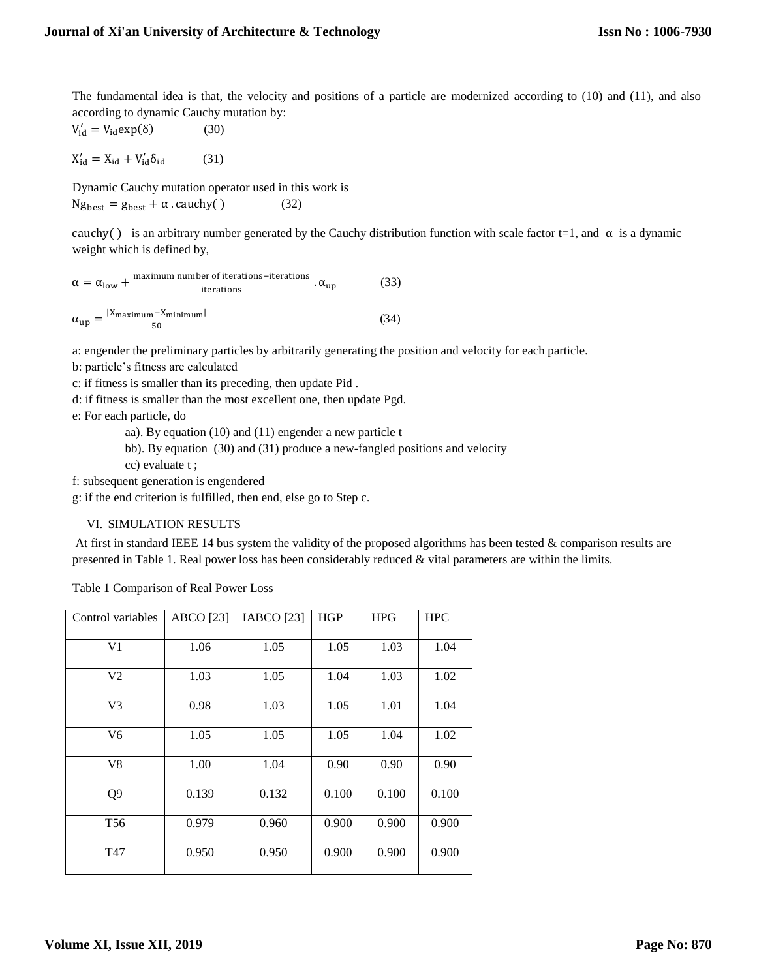The fundamental idea is that, the velocity and positions of a particle are modernized according to (10) and (11), and also according to dynamic Cauchy mutation by:

$$
V'_{id} = V_{id} \exp(\delta) \tag{30}
$$

 $X'_{id} = X_{id} + V'_{id}$  $(31)$ 

Dynamic Cauchy mutation operator used in this work is  $Ng_{best} = g_{best} + \alpha \cdot \text{cauchy}$  (32)

cauchy() is an arbitrary number generated by the Cauchy distribution function with scale factor t=1, and  $\alpha$  is a dynamic weight which is defined by,

$$
\alpha = \alpha_{\text{low}} + \frac{\text{maximum number of iterations}-iterations}{\text{iterations}}.\ \alpha_{\text{up}} \tag{33}
$$
\n
$$
\alpha_{\text{up}} = \frac{|X_{\text{maximum}} - X_{\text{minimum}}|}{50} \tag{34}
$$

a: engender the preliminary particles by arbitrarily generating the position and velocity for each particle.

b: particle's fitness are calculated

c: if fitness is smaller than its preceding, then update Pid .

d: if fitness is smaller than the most excellent one, then update Pgd.

e: For each particle, do

- aa). By equation (10) and (11) engender a new particle t
- bb). By equation (30) and (31) produce a new-fangled positions and velocity
- cc) evaluate t ;

f: subsequent generation is engendered

g: if the end criterion is fulfilled, then end, else go to Step c.

# VI. SIMULATION RESULTS

At first in standard IEEE 14 bus system the validity of the proposed algorithms has been tested  $\&$  comparison results are presented in Table 1. Real power loss has been considerably reduced & vital parameters are within the limits.

Table 1 Comparison of Real Power Loss

| Control variables | <b>ABCO</b> [23] | IABCO [23] | HGP   | <b>HPG</b> | <b>HPC</b> |  |
|-------------------|------------------|------------|-------|------------|------------|--|
| V <sub>1</sub>    | 1.06             | 1.05       | 1.05  | 1.03       | 1.04       |  |
| V2                | 1.03             | 1.05       | 1.04  | 1.03       | 1.02       |  |
| V <sub>3</sub>    | 0.98             | 1.03       | 1.05  | 1.01       | 1.04       |  |
| V6                | 1.05             | 1.05       | 1.05  | 1.04       | 1.02       |  |
| V8                | 1.00             | 1.04       | 0.90  | 0.90       | 0.90       |  |
| Q <sub>9</sub>    | 0.139            | 0.132      | 0.100 | 0.100      | 0.100      |  |
| T <sub>56</sub>   | 0.979            | 0.960      | 0.900 | 0.900      | 0.900      |  |
| T47               | 0.950            | 0.950      | 0.900 | 0.900      | 0.900      |  |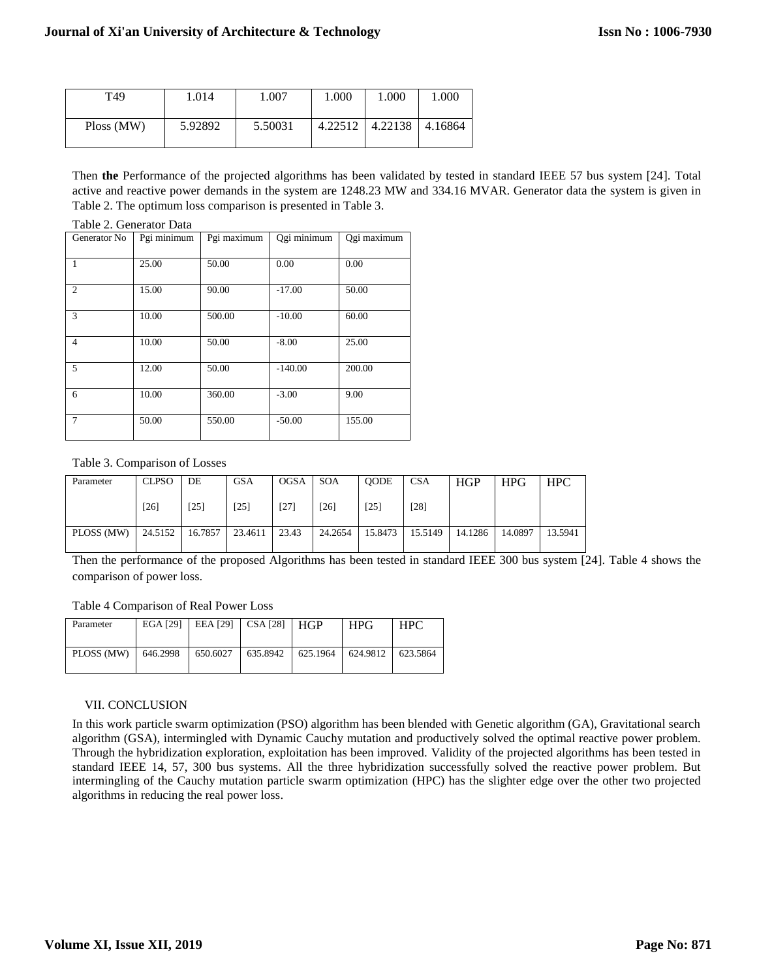| T49        | 1.014   | 1.007   | 1.000   | 1.000   | 1.000   |
|------------|---------|---------|---------|---------|---------|
| Ploss (MW) | 5.92892 | 5.50031 | 4.22512 | 4.22138 | 4.16864 |

Then **the** Performance of the projected algorithms has been validated by tested in standard IEEE 57 bus system [24]. Total active and reactive power demands in the system are 1248.23 MW and 334.16 MVAR. Generator data the system is given in Table 2. The optimum loss comparison is presented in Table 3.

#### Table 2. Generator Data

| Generator No   | Pgi minimum | Pgi maximum | Qgi minimum | Qgi maximum |
|----------------|-------------|-------------|-------------|-------------|
| $\mathbf{1}$   | 25.00       | 50.00       | 0.00        | 0.00        |
| $\overline{2}$ | 15.00       | 90.00       | $-17.00$    | 50.00       |
| 3              | 10.00       | 500.00      | $-10.00$    | 60.00       |
| $\overline{4}$ | 10.00       | 50.00       | $-8.00$     | 25.00       |
| 5              | 12.00       | 50.00       | $-140.00$   | 200.00      |
| 6              | 10.00       | 360.00      | $-3.00$     | 9.00        |
| $\tau$         | 50.00       | 550.00      | $-50.00$    | 155.00      |

## Table 3. Comparison of Losses

| Parameter  | <b>CLPSO</b> | DE      | <b>GSA</b> | <b>OGSA</b> | <b>SOA</b> | <b>OODE</b> | <b>CSA</b> | <b>HGP</b> | <b>HPG</b> | <b>HPC</b> |
|------------|--------------|---------|------------|-------------|------------|-------------|------------|------------|------------|------------|
|            | $[26]$       | [25]    | [25]       | $[27]$      | [26]       | [25]        | [28]       |            |            |            |
| PLOSS (MW) | 24.5152      | 16.7857 | 23.4611    | 23.43       | 24.2654    | 15.8473     | 15.5149    | 14.1286    | 14.0897    | 13.5941    |

Then the performance of the proposed Algorithms has been tested in standard IEEE 300 bus system [24]. Table 4 shows the comparison of power loss.

Table 4 Comparison of Real Power Loss

| Parameter  | EGA [29] |          | EEA [29] $\vert$ CSA [28] $\vert$ HGP |          | <b>HPG</b> | <b>HPC</b> |
|------------|----------|----------|---------------------------------------|----------|------------|------------|
| PLOSS (MW) | 646.2998 | 650.6027 | 635.8942                              | 625.1964 | 624.9812   | 623.5864   |

## VII. CONCLUSION

In this work particle swarm optimization (PSO) algorithm has been blended with Genetic algorithm (GA), Gravitational search algorithm (GSA), intermingled with Dynamic Cauchy mutation and productively solved the optimal reactive power problem. Through the hybridization exploration, exploitation has been improved. Validity of the projected algorithms has been tested in standard IEEE 14, 57, 300 bus systems. All the three hybridization successfully solved the reactive power problem. But intermingling of the Cauchy mutation particle swarm optimization (HPC) has the slighter edge over the other two projected algorithms in reducing the real power loss.